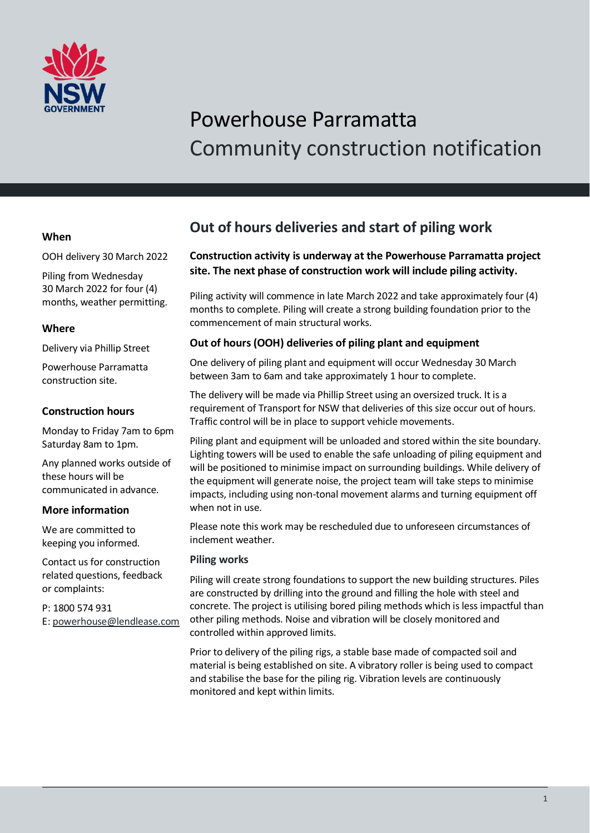

# Powerhouse Parramatta Community construction notification

## **When**

OOH delivery 30 March 2022

Piling from Wednesday 30 March 2022 for four (4) months, weather permitting.

## **Where**

Delivery via Phillip Street

Powerhouse Parramatta construction site.

# **Construction hours**

Monday to Friday 7am to 6pm Saturday 8am to 1pm.

Any planned works outside of these hours will be communicated in advance.

# **More information**

We are committed to keeping you informed.

Contact us for construction related questions, feedback or complaints:

P: 1800 574 931 E: [powerhouse@lendlease.com](mailto:powerhouse@lendlease.com)

# **Out of hours deliveries and start of piling work**

# **Construction activity is underway at the Powerhouse Parramatta project site. The next phase of construction work will include piling activity.**

Piling activity will commence in late March 2022 and take approximately four (4) months to complete. Piling will create a strong building foundation prior to the commencement of main structural works.

# **Out of hours (OOH) deliveries of piling plant and equipment**

One delivery of piling plant and equipment will occur Wednesday 30 March between 3am to 6am and take approximately 1 hour to complete.

The delivery will be made via Phillip Street using an oversized truck. It is a requirement of Transport for NSW that deliveries of this size occur out of hours. Traffic control will be in place to support vehicle movements.

Piling plant and equipment will be unloaded and stored within the site boundary. Lighting towers will be used to enable the safe unloading of piling equipment and will be positioned to minimise impact on surrounding buildings. While delivery of the equipment will generate noise, the project team will take steps to minimise impacts, including using non-tonal movement alarms and turning equipment off when not in use.

Please note this work may be rescheduled due to unforeseen circumstances of inclement weather.

### **Piling works**

Piling will create strong foundations to support the new building structures. Piles are constructed by drilling into the ground and filling the hole with steel and concrete. The project is utilising bored piling methods which is less impactful than other piling methods. Noise and vibration will be closely monitored and controlled within approved limits.

Prior to delivery of the piling rigs, a stable base made of compacted soil and material is being established on site. A vibratory roller is being used to compact and stabilise the base for the piling rig. Vibration levels are continuously monitored and kept within limits.